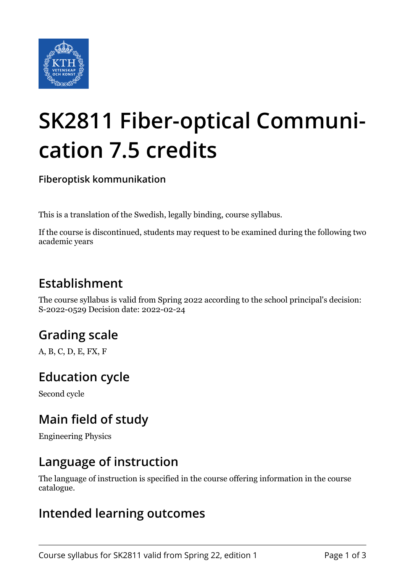

# **SK2811 Fiber-optical Communication 7.5 credits**

**Fiberoptisk kommunikation**

This is a translation of the Swedish, legally binding, course syllabus.

If the course is discontinued, students may request to be examined during the following two academic years

## **Establishment**

The course syllabus is valid from Spring 2022 according to the school principal's decision: S-2022-0529 Decision date: 2022-02-24

## **Grading scale**

A, B, C, D, E, FX, F

#### **Education cycle**

Second cycle

### **Main field of study**

Engineering Physics

#### **Language of instruction**

The language of instruction is specified in the course offering information in the course catalogue.

#### **Intended learning outcomes**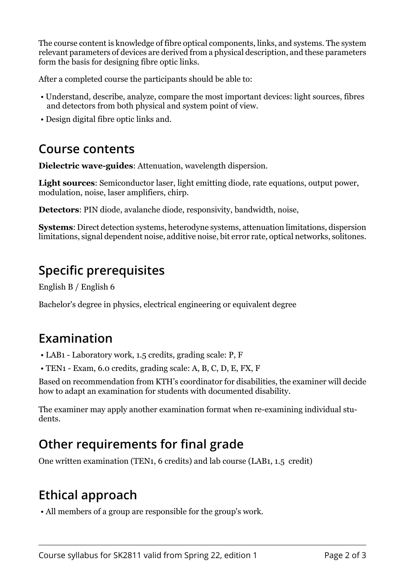The course content is knowledge of fibre optical components, links, and systems. The system relevant parameters of devices are derived from a physical description, and these parameters form the basis for designing fibre optic links.

After a completed course the participants should be able to:

- Understand, describe, analyze, compare the most important devices: light sources, fibres and detectors from both physical and system point of view.
- Design digital fibre optic links and.

#### **Course contents**

**Dielectric wave-guides:** Attenuation, wavelength dispersion.

**Light sources:** Semiconductor laser, light emitting diode, rate equations, output power, modulation, noise, laser amplifiers, chirp.

**Detectors:** PIN diode, avalanche diode, responsivity, bandwidth, noise,

**Systems:** Direct detection systems, heterodyne systems, attenuation limitations, dispersion limitations, signal dependent noise, additive noise, bit error rate, optical networks, solitones.

#### **Specific prerequisites**

English B / English 6

Bachelor's degree in physics, electrical engineering or equivalent degree

#### **Examination**

- LAB1 Laboratory work, 1.5 credits, grading scale: P, F
- TEN1 Exam, 6.0 credits, grading scale: A, B, C, D, E, FX, F

Based on recommendation from KTH's coordinator for disabilities, the examiner will decide how to adapt an examination for students with documented disability.

The examiner may apply another examination format when re-examining individual students.

## **Other requirements for final grade**

One written examination (TEN1, 6 credits) and lab course (LAB1, 1.5 credit)

### **Ethical approach**

• All members of a group are responsible for the group's work.